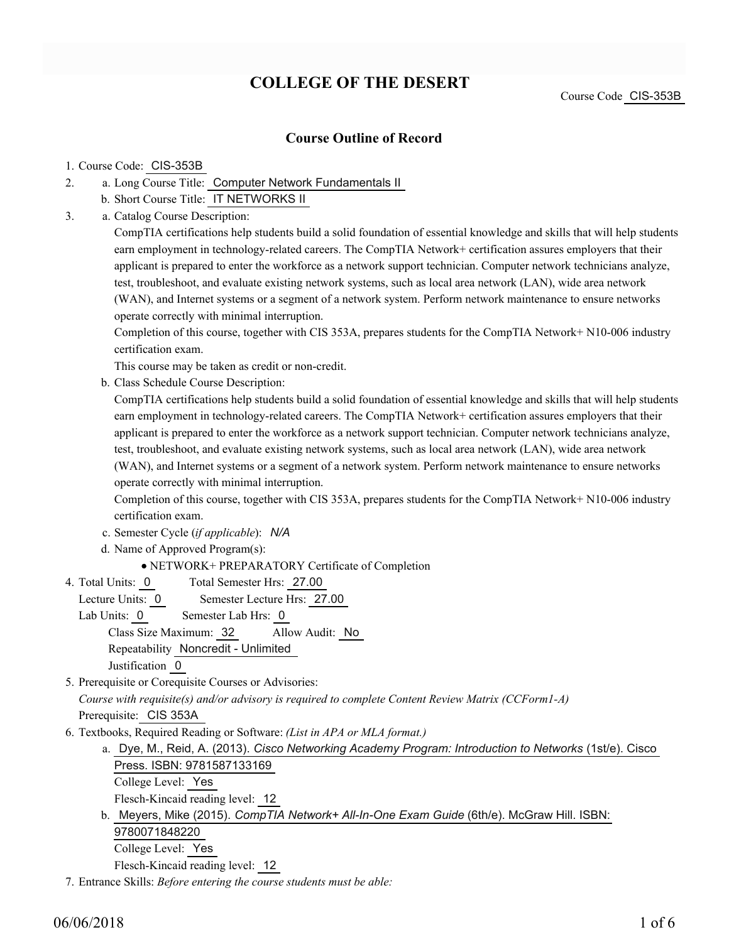# **COLLEGE OF THE DESERT**

### **Course Outline of Record**

#### 1. Course Code: CIS-353B

- a. Long Course Title: Computer Network Fundamentals II 2.
	- b. Short Course Title: IT NETWORKS II
- Catalog Course Description: a. 3.

CompTIA certifications help students build a solid foundation of essential knowledge and skills that will help students earn employment in technology-related careers. The CompTIA Network+ certification assures employers that their applicant is prepared to enter the workforce as a network support technician. Computer network technicians analyze, test, troubleshoot, and evaluate existing network systems, such as local area network (LAN), wide area network (WAN), and Internet systems or a segment of a network system. Perform network maintenance to ensure networks operate correctly with minimal interruption.

Completion of this course, together with CIS 353A, prepares students for the CompTIA Network+ N10-006 industry certification exam.

This course may be taken as credit or non-credit.

b. Class Schedule Course Description:

CompTIA certifications help students build a solid foundation of essential knowledge and skills that will help students earn employment in technology-related careers. The CompTIA Network+ certification assures employers that their applicant is prepared to enter the workforce as a network support technician. Computer network technicians analyze, test, troubleshoot, and evaluate existing network systems, such as local area network (LAN), wide area network (WAN), and Internet systems or a segment of a network system. Perform network maintenance to ensure networks operate correctly with minimal interruption.

Completion of this course, together with CIS 353A, prepares students for the CompTIA Network+ N10-006 industry certification exam.

- c. Semester Cycle (*if applicable*): *N/A*
- d. Name of Approved Program(s):

NETWORK+ PREPARATORY Certificate of Completion

- Total Semester Hrs: 27.00 4. Total Units: 0
	- Lecture Units: 0 Semester Lecture Hrs: 27.00

Lab Units: 0 Semester Lab Hrs: 0 Class Size Maximum: 32 Allow Audit: No Repeatability Noncredit - Unlimited

Justification 0

5. Prerequisite or Corequisite Courses or Advisories:

*Course with requisite(s) and/or advisory is required to complete Content Review Matrix (CCForm1-A)*

Prerequisite: CIS 353A

- Textbooks, Required Reading or Software: *(List in APA or MLA format.)* 6.
	- a. Dye, M., Reid, A. (2013). *Cisco Networking Academy Program: Introduction to Networks* (1st/e). Cisco Press. ISBN: 9781587133169 College Level: Yes Flesch-Kincaid reading level: 12
	- b. Meyers, Mike (2015). *CompTIA Network+ All-In-One Exam Guide* (6th/e). McGraw Hill. ISBN: 9780071848220 College Level: Yes

Flesch-Kincaid reading level: 12

7. Entrance Skills: *Before entering the course students must be able:*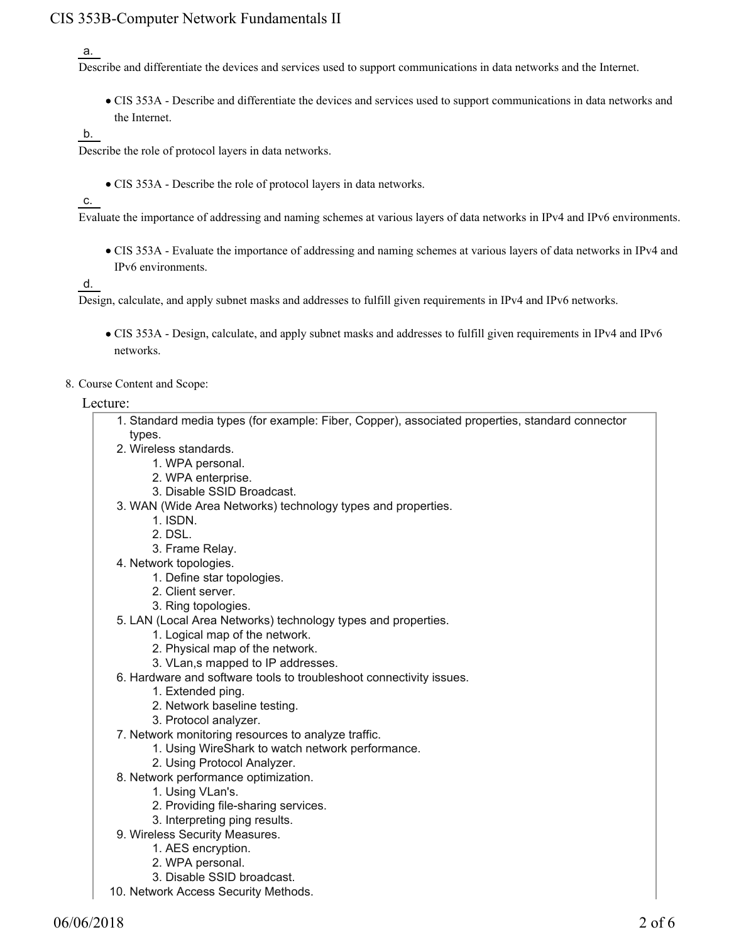### CIS 353B-Computer Network Fundamentals II

#### a.

Describe and differentiate the devices and services used to support communications in data networks and the Internet.

CIS 353A - Describe and differentiate the devices and services used to support communications in data networks and the Internet.

#### b.

Describe the role of protocol layers in data networks.

CIS 353A - Describe the role of protocol layers in data networks.

#### c.

Evaluate the importance of addressing and naming schemes at various layers of data networks in IPv4 and IPv6 environments.

CIS 353A - Evaluate the importance of addressing and naming schemes at various layers of data networks in IPv4 and IPv6 environments.

d.

Design, calculate, and apply subnet masks and addresses to fulfill given requirements in IPv4 and IPv6 networks.

- CIS 353A Design, calculate, and apply subnet masks and addresses to fulfill given requirements in IPv4 and IPv6 networks.
- 8. Course Content and Scope:

#### Lecture:

| 1. Standard media types (for example: Fiber, Copper), associated properties, standard connector |
|-------------------------------------------------------------------------------------------------|
| types.                                                                                          |
| 2. Wireless standards.                                                                          |
| 1. WPA personal.                                                                                |
| 2. WPA enterprise.                                                                              |
| 3. Disable SSID Broadcast.                                                                      |
| 3. WAN (Wide Area Networks) technology types and properties.                                    |
| 1. ISDN.                                                                                        |
| 2. DSL.                                                                                         |
| 3. Frame Relay.                                                                                 |
| 4. Network topologies.                                                                          |
| 1. Define star topologies.                                                                      |
| 2. Client server.                                                                               |
| 3. Ring topologies.                                                                             |
| 5. LAN (Local Area Networks) technology types and properties.                                   |
| 1. Logical map of the network.                                                                  |
| 2. Physical map of the network.                                                                 |
| 3. VLan,s mapped to IP addresses.                                                               |
| 6. Hardware and software tools to troubleshoot connectivity issues.                             |
| 1. Extended ping.                                                                               |
| 2. Network baseline testing.                                                                    |
| 3. Protocol analyzer.                                                                           |
| 7. Network monitoring resources to analyze traffic.                                             |
| 1. Using WireShark to watch network performance.                                                |
| 2. Using Protocol Analyzer.                                                                     |
| 8. Network performance optimization.                                                            |

- 1. Using VLan's.
- 2. Providing file-sharing services.
- 3. Interpreting ping results.
- 9. Wireless Security Measures.
	- 1. AES encryption.
	- 2. WPA personal.
	- 3. Disable SSID broadcast.
- 10. Network Access Security Methods.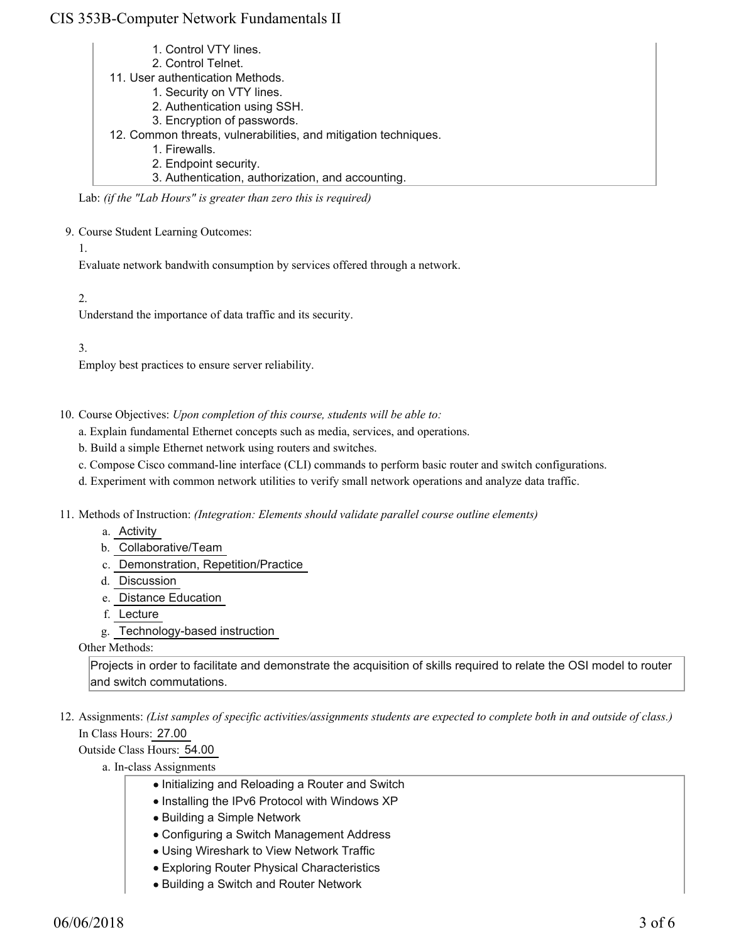### CIS 353B-Computer Network Fundamentals II

- 1. Control VTY lines.
- 2. Control Telnet.
- 11. User authentication Methods.
	- 1. Security on VTY lines.
		- 2. Authentication using SSH.
		- 3. Encryption of passwords.
- 12. Common threats, vulnerabilities, and mitigation techniques.
	- 1. Firewalls.
		- 2. Endpoint security.
		- 3. Authentication, authorization, and accounting.

Lab: *(if the "Lab Hours" is greater than zero this is required)*

9. Course Student Learning Outcomes:

1.

Evaluate network bandwith consumption by services offered through a network.

2.

Understand the importance of data traffic and its security.

3.

Employ best practices to ensure server reliability.

- 10. Course Objectives: Upon completion of this course, students will be able to:
	- a. Explain fundamental Ethernet concepts such as media, services, and operations.
	- b. Build a simple Ethernet network using routers and switches.
	- c. Compose Cisco command-line interface (CLI) commands to perform basic router and switch configurations.
	- d. Experiment with common network utilities to verify small network operations and analyze data traffic.
- 11. Methods of Instruction: *(Integration: Elements should validate parallel course outline elements)* 
	- a. Activity
	- b. Collaborative/Team
	- c. Demonstration, Repetition/Practice
	- d. Discussion
	- e. Distance Education
	- f. Lecture
	- g. Technology-based instruction

Other Methods:

Projects in order to facilitate and demonstrate the acquisition of skills required to relate the OSI model to router and switch commutations.

12. Assignments: (List samples of specific activities/assignments students are expected to complete both in and outside of class.) In Class Hours: 27.00

Outside Class Hours: 54.00

a. In-class Assignments

- Initializing and Reloading a Router and Switch
- Installing the IPv6 Protocol with Windows XP
- Building a Simple Network
- Configuring a Switch Management Address
- Using Wireshark to View Network Traffic
- Exploring Router Physical Characteristics
- Building a Switch and Router Network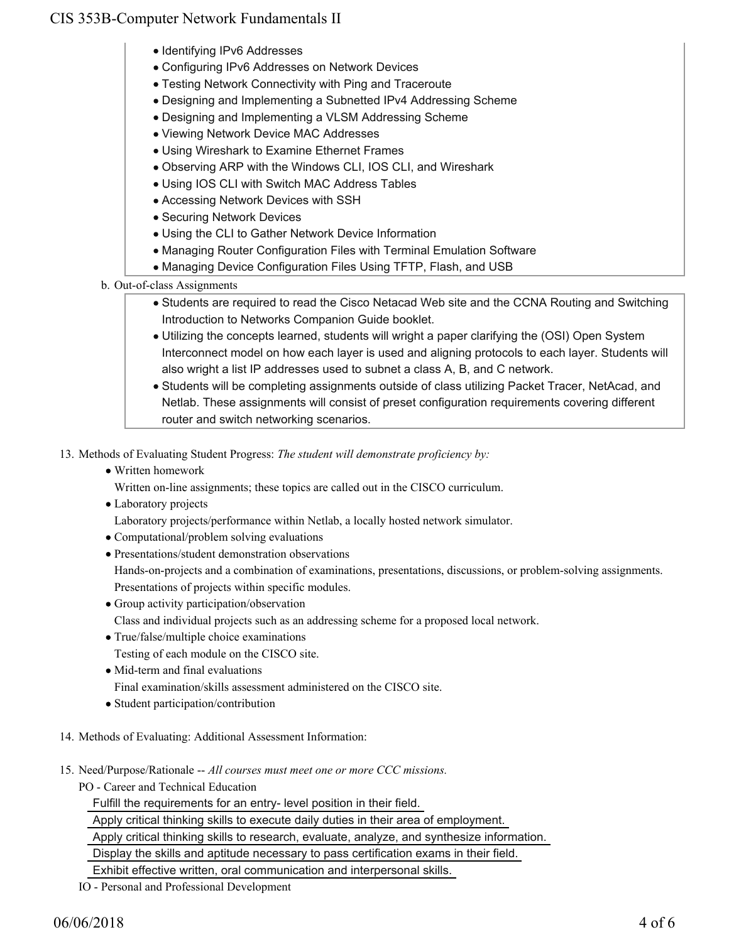## CIS 353B-Computer Network Fundamentals II

- Identifying IPv6 Addresses
- Configuring IPv6 Addresses on Network Devices
- Testing Network Connectivity with Ping and Traceroute
- Designing and Implementing a Subnetted IPv4 Addressing Scheme
- Designing and Implementing a VLSM Addressing Scheme
- Viewing Network Device MAC Addresses
- Using Wireshark to Examine Ethernet Frames
- Observing ARP with the Windows CLI, IOS CLI, and Wireshark
- Using IOS CLI with Switch MAC Address Tables
- Accessing Network Devices with SSH
- Securing Network Devices
- Using the CLI to Gather Network Device Information
- Managing Router Configuration Files with Terminal Emulation Software
- Managing Device Configuration Files Using TFTP, Flash, and USB
- b. Out-of-class Assignments
	- Students are required to read the Cisco Netacad Web site and the CCNA Routing and Switching Introduction to Networks Companion Guide booklet.
	- Utilizing the concepts learned, students will wright a paper clarifying the (OSI) Open System Interconnect model on how each layer is used and aligning protocols to each layer. Students will also wright a list IP addresses used to subnet a class A, B, and C network.
	- Students will be completing assignments outside of class utilizing Packet Tracer, NetAcad, and Netlab. These assignments will consist of preset configuration requirements covering different router and switch networking scenarios.
- 13. Methods of Evaluating Student Progress: The student will demonstrate proficiency by:
	- Written homework
		- Written on-line assignments; these topics are called out in the CISCO curriculum.
	- Laboratory projects
		- Laboratory projects/performance within Netlab, a locally hosted network simulator.
	- Computational/problem solving evaluations
	- Presentations/student demonstration observations

Hands-on-projects and a combination of examinations, presentations, discussions, or problem-solving assignments. Presentations of projects within specific modules.

- Group activity participation/observation Class and individual projects such as an addressing scheme for a proposed local network.
- True/false/multiple choice examinations Testing of each module on the CISCO site.
- Mid-term and final evaluations
- Final examination/skills assessment administered on the CISCO site.
- Student participation/contribution
- 14. Methods of Evaluating: Additional Assessment Information:
- 15. Need/Purpose/Rationale -- All courses must meet one or more CCC missions.
	- PO Career and Technical Education

Fulfill the requirements for an entry- level position in their field.

Apply critical thinking skills to execute daily duties in their area of employment.

Apply critical thinking skills to research, evaluate, analyze, and synthesize information.

Display the skills and aptitude necessary to pass certification exams in their field.

Exhibit effective written, oral communication and interpersonal skills.

IO - Personal and Professional Development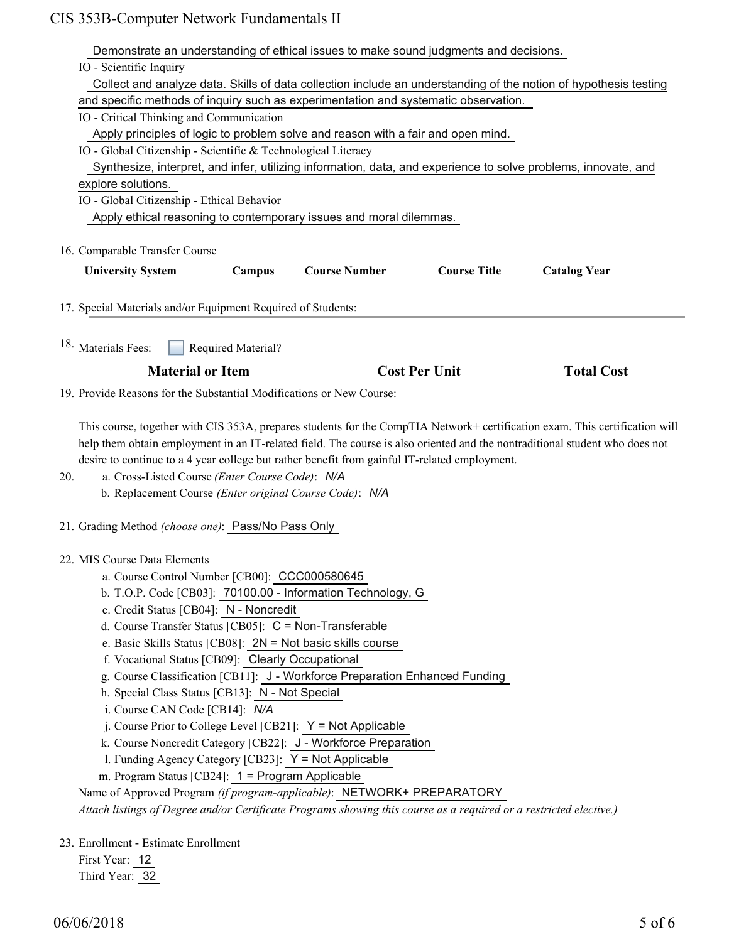|     | Demonstrate an understanding of ethical issues to make sound judgments and decisions.                                                                                                                                                                      |
|-----|------------------------------------------------------------------------------------------------------------------------------------------------------------------------------------------------------------------------------------------------------------|
|     | IO - Scientific Inquiry                                                                                                                                                                                                                                    |
|     | Collect and analyze data. Skills of data collection include an understanding of the notion of hypothesis testing                                                                                                                                           |
|     | and specific methods of inquiry such as experimentation and systematic observation.                                                                                                                                                                        |
|     | IO - Critical Thinking and Communication                                                                                                                                                                                                                   |
|     | Apply principles of logic to problem solve and reason with a fair and open mind.                                                                                                                                                                           |
|     | IO - Global Citizenship - Scientific & Technological Literacy                                                                                                                                                                                              |
|     | Synthesize, interpret, and infer, utilizing information, data, and experience to solve problems, innovate, and                                                                                                                                             |
|     | explore solutions.                                                                                                                                                                                                                                         |
|     | IO - Global Citizenship - Ethical Behavior                                                                                                                                                                                                                 |
|     | Apply ethical reasoning to contemporary issues and moral dilemmas.                                                                                                                                                                                         |
|     | 16. Comparable Transfer Course                                                                                                                                                                                                                             |
|     | <b>Course Title</b><br><b>Course Number</b>                                                                                                                                                                                                                |
|     | <b>University System</b><br>Campus<br><b>Catalog Year</b>                                                                                                                                                                                                  |
|     | 17. Special Materials and/or Equipment Required of Students:                                                                                                                                                                                               |
|     |                                                                                                                                                                                                                                                            |
|     | 18. Materials Fees:<br>Required Material?                                                                                                                                                                                                                  |
|     | <b>Cost Per Unit</b><br><b>Material or Item</b><br><b>Total Cost</b>                                                                                                                                                                                       |
|     | 19. Provide Reasons for the Substantial Modifications or New Course:                                                                                                                                                                                       |
|     |                                                                                                                                                                                                                                                            |
|     | This course, together with CIS 353A, prepares students for the CompTIA Network+ certification exam. This certification will<br>help them obtain employment in an IT-related field. The course is also oriented and the nontraditional student who does not |
|     | desire to continue to a 4 year college but rather benefit from gainful IT-related employment.                                                                                                                                                              |
| 20. | a. Cross-Listed Course (Enter Course Code): N/A                                                                                                                                                                                                            |
|     | b. Replacement Course (Enter original Course Code): N/A                                                                                                                                                                                                    |
|     | 21. Grading Method (choose one): Pass/No Pass Only                                                                                                                                                                                                         |
|     | 22. MIS Course Data Elements                                                                                                                                                                                                                               |
|     | a. Course Control Number [CB00]: CCC000580645                                                                                                                                                                                                              |
|     | b. T.O.P. Code [CB03]: 70100.00 - Information Technology, G                                                                                                                                                                                                |
|     | c. Credit Status [CB04]: N - Noncredit                                                                                                                                                                                                                     |
|     | d. Course Transfer Status [CB05]: C = Non-Transferable                                                                                                                                                                                                     |
|     | e. Basic Skills Status [CB08]: 2N = Not basic skills course                                                                                                                                                                                                |
|     | f. Vocational Status [CB09]: Clearly Occupational                                                                                                                                                                                                          |
|     | g. Course Classification [CB11]: J - Workforce Preparation Enhanced Funding                                                                                                                                                                                |
|     | h. Special Class Status [CB13]: N - Not Special                                                                                                                                                                                                            |
|     | i. Course CAN Code [CB14]: N/A                                                                                                                                                                                                                             |
|     | j. Course Prior to College Level [CB21]: $Y = Not$ Applicable                                                                                                                                                                                              |
|     | k. Course Noncredit Category [CB22]: J - Workforce Preparation                                                                                                                                                                                             |
|     | 1. Funding Agency Category [CB23]: Y = Not Applicable                                                                                                                                                                                                      |
|     | m. Program Status [CB24]: 1 = Program Applicable                                                                                                                                                                                                           |
|     | Name of Approved Program (if program-applicable): NETWORK+ PREPARATORY                                                                                                                                                                                     |
|     | Attach listings of Degree and/or Certificate Programs showing this course as a required or a restricted elective.)                                                                                                                                         |
|     | 23. Enrollment - Estimate Enrollment                                                                                                                                                                                                                       |
|     | First Year: 12                                                                                                                                                                                                                                             |
|     | Third Year: 32                                                                                                                                                                                                                                             |